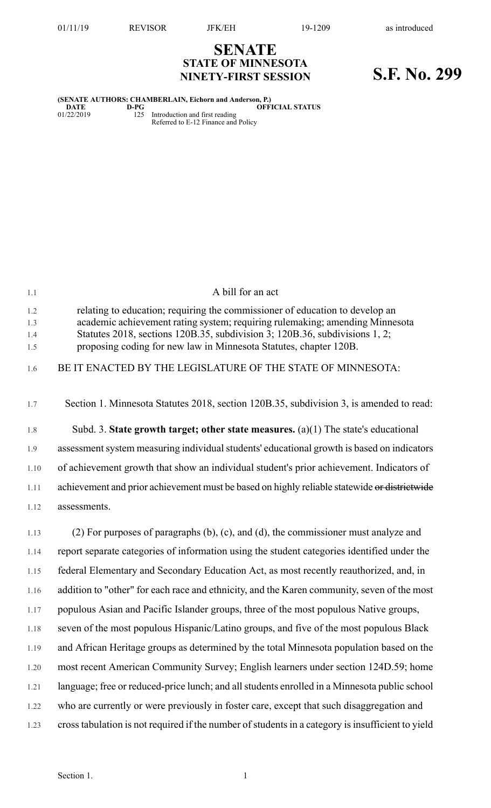## **SENATE STATE OF MINNESOTA NINETY-FIRST SESSION S.F. No. 299**

### **(SENATE AUTHORS: CHAMBERLAIN, Eichorn and Anderson, P.)**<br>D-PG<br>01/22/2019 125 Introduction and first reading  $\overline{O}$ **PFICIAL STATUS**

01/22/2019 125 Introduction and first reading Referred to E-12 Finance and Policy

| 1.1                      | A bill for an act                                                                                                                                                                                                                                                                                                |
|--------------------------|------------------------------------------------------------------------------------------------------------------------------------------------------------------------------------------------------------------------------------------------------------------------------------------------------------------|
| 1.2<br>1.3<br>1.4<br>1.5 | relating to education; requiring the commissioner of education to develop an<br>academic achievement rating system; requiring rulemaking; amending Minnesota<br>Statutes 2018, sections 120B.35, subdivision 3; 120B.36, subdivisions 1, 2;<br>proposing coding for new law in Minnesota Statutes, chapter 120B. |
| 1.6                      | BE IT ENACTED BY THE LEGISLATURE OF THE STATE OF MINNESOTA:                                                                                                                                                                                                                                                      |
| 1.7                      | Section 1. Minnesota Statutes 2018, section 120B.35, subdivision 3, is amended to read:                                                                                                                                                                                                                          |
| 1.8                      | Subd. 3. State growth target; other state measures. $(a)(1)$ The state's educational                                                                                                                                                                                                                             |
| 1.9                      | assessment system measuring individual students' educational growth is based on indicators                                                                                                                                                                                                                       |
| 1.10                     | of achievement growth that show an individual student's prior achievement. Indicators of                                                                                                                                                                                                                         |
| 1.11                     | achievement and prior achievement must be based on highly reliable statewide or districtwide                                                                                                                                                                                                                     |
| 1.12                     | assessments.                                                                                                                                                                                                                                                                                                     |
| 1.13                     | $(2)$ For purposes of paragraphs $(b)$ , $(c)$ , and $(d)$ , the commissioner must analyze and                                                                                                                                                                                                                   |
| 1.14                     | report separate categories of information using the student categories identified under the                                                                                                                                                                                                                      |
| 1.15                     | federal Elementary and Secondary Education Act, as most recently reauthorized, and, in                                                                                                                                                                                                                           |
| 1.16                     | addition to "other" for each race and ethnicity, and the Karen community, seven of the most                                                                                                                                                                                                                      |
| 1.17                     | populous Asian and Pacific Islander groups, three of the most populous Native groups,                                                                                                                                                                                                                            |
| 1.18                     | seven of the most populous Hispanic/Latino groups, and five of the most populous Black                                                                                                                                                                                                                           |
| 1.19                     | and African Heritage groups as determined by the total Minnesota population based on the                                                                                                                                                                                                                         |
| 1.20                     | most recent American Community Survey; English learners under section 124D.59; home                                                                                                                                                                                                                              |
| 1.21                     | language; free or reduced-price lunch; and all students enrolled in a Minnesota public school                                                                                                                                                                                                                    |
| 1.22                     | who are currently or were previously in foster care, except that such disaggregation and                                                                                                                                                                                                                         |
| 1.23                     | cross tabulation is not required if the number of students in a category is insufficient to yield                                                                                                                                                                                                                |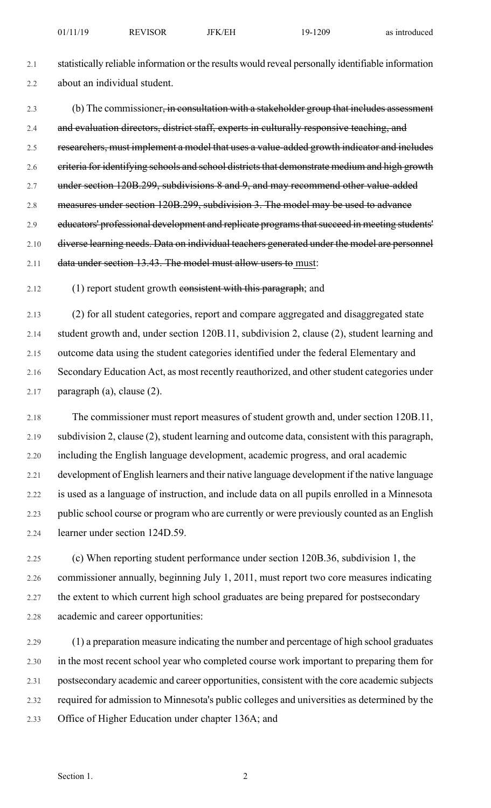2.1 statistically reliable information or the results would reveal personally identifiable information 2.2 about an individual student.

2.3 (b) The commissioner, in consultation with a stakeholder group that includes assessment 2.4 and evaluation directors, district staff, experts in culturally responsive teaching, and 2.5 researchers, must implement a model that uses a value-added growth indicator and includes 2.6 eriteria for identifying schools and school districts that demonstrate medium and high growth 2.7 under section 120B.299, subdivisions 8 and 9, and may recommend other value-added 2.8 measures under section 120B.299, subdivision 3. The model may be used to advance 2.9 educators' professional development and replicate programs that succeed in meeting students' 2.10 diverse learning needs. Data on individual teachers generated under the model are personnel 2.11 data under section 13.43. The model must allow users to must:

2.12 (1) report student growth consistent with this paragraph; and

2.13 (2) for all student categories, report and compare aggregated and disaggregated state 2.14 student growth and, under section 120B.11, subdivision 2, clause (2), student learning and 2.15 outcome data using the student categories identified under the federal Elementary and 2.16 Secondary Education Act, as most recently reauthorized, and other student categories under 2.17 paragraph (a), clause (2).

2.18 The commissioner must report measures of student growth and, under section 120B.11, 2.19 subdivision 2, clause (2), student learning and outcome data, consistent with this paragraph, 2.20 including the English language development, academic progress, and oral academic 2.21 development of English learners and their native language development if the native language 2.22 is used as a language of instruction, and include data on all pupils enrolled in a Minnesota 2.23 public school course or program who are currently or were previously counted as an English 2.24 learner under section 124D.59.

2.25 (c) When reporting student performance under section 120B.36, subdivision 1, the 2.26 commissioner annually, beginning July 1, 2011, must report two core measures indicating 2.27 the extent to which current high school graduates are being prepared for postsecondary 2.28 academic and career opportunities:

2.29 (1) a preparation measure indicating the number and percentage of high school graduates 2.30 in the most recent school year who completed course work important to preparing them for 2.31 postsecondary academic and career opportunities, consistent with the core academic subjects 2.32 required for admission to Minnesota's public colleges and universities as determined by the 2.33 Office of Higher Education under chapter 136A; and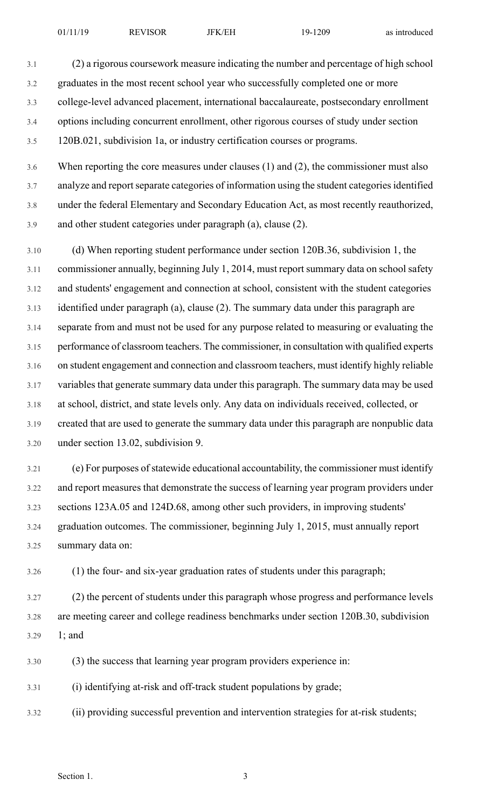3.1 (2) a rigorous coursework measure indicating the number and percentage of high school 3.2 graduates in the most recent school year who successfully completed one or more 3.3 college-level advanced placement, international baccalaureate, postsecondary enrollment 3.4 options including concurrent enrollment, other rigorous courses of study under section 3.5 120B.021, subdivision 1a, or industry certification courses or programs.

3.6 When reporting the core measures under clauses (1) and (2), the commissioner must also 3.7 analyze and report separate categories of information using the student categories identified 3.8 under the federal Elementary and Secondary Education Act, as most recently reauthorized, 3.9 and other student categories under paragraph (a), clause (2).

3.10 (d) When reporting student performance under section 120B.36, subdivision 1, the 3.11 commissioner annually, beginning July 1, 2014, must report summary data on school safety 3.12 and students' engagement and connection at school, consistent with the student categories 3.13 identified under paragraph (a), clause (2). The summary data under this paragraph are 3.14 separate from and must not be used for any purpose related to measuring or evaluating the 3.15 performance of classroom teachers. The commissioner, in consultation with qualified experts 3.16 on student engagement and connection and classroom teachers, must identify highly reliable 3.17 variables that generate summary data under this paragraph. The summary data may be used 3.18 at school, district, and state levels only. Any data on individuals received, collected, or 3.19 created that are used to generate the summary data under this paragraph are nonpublic data 3.20 under section 13.02, subdivision 9.

3.21 (e) For purposes ofstatewide educational accountability, the commissioner must identify 3.22 and report measures that demonstrate the success of learning year program providers under 3.23 sections 123A.05 and 124D.68, among other such providers, in improving students' 3.24 graduation outcomes. The commissioner, beginning July 1, 2015, must annually report 3.25 summary data on:

3.26 (1) the four- and six-year graduation rates of students under this paragraph;

3.27 (2) the percent of students under this paragraph whose progress and performance levels 3.28 are meeting career and college readiness benchmarks under section 120B.30, subdivision 3.29 1; and

3.30 (3) the success that learning year program providers experience in:

3.31 (i) identifying at-risk and off-track student populations by grade;

3.32 (ii) providing successful prevention and intervention strategies for at-risk students;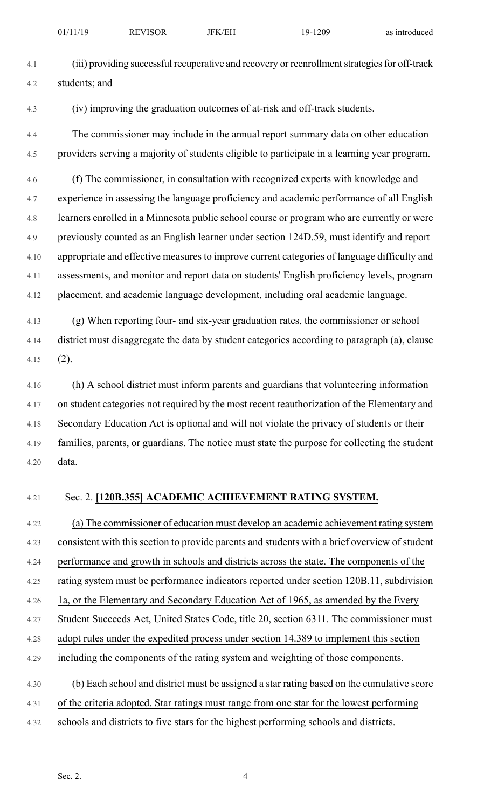| 01/11/19<br><b>JFK/EH</b><br><b>REVISOR</b><br>19-1209<br>as introduced |
|-------------------------------------------------------------------------|
|-------------------------------------------------------------------------|

- 4.1 (iii) providing successful recuperative and recovery or reenrollmentstrategiesfor off-track 4.2 students; and
- 4.3 (iv) improving the graduation outcomes of at-risk and off-track students.
- 4.4 The commissioner may include in the annual report summary data on other education 4.5 providers serving a majority of students eligible to participate in a learning year program.

4.6 (f) The commissioner, in consultation with recognized experts with knowledge and 4.7 experience in assessing the language proficiency and academic performance of all English 4.8 learners enrolled in a Minnesota public school course or program who are currently or were 4.9 previously counted as an English learner under section 124D.59, must identify and report 4.10 appropriate and effective measures to improve current categories of language difficulty and 4.11 assessments, and monitor and report data on students' English proficiency levels, program 4.12 placement, and academic language development, including oral academic language.

4.13 (g) When reporting four- and six-year graduation rates, the commissioner or school 4.14 district must disaggregate the data by student categories according to paragraph (a), clause 4.15 (2).

4.16 (h) A school district must inform parents and guardians that volunteering information 4.17 on student categories not required by the most recent reauthorization of the Elementary and 4.18 Secondary Education Act is optional and will not violate the privacy of students or their 4.19 families, parents, or guardians. The notice must state the purpose for collecting the student 4.20 data.

#### 4.21 Sec. 2. **[120B.355] ACADEMIC ACHIEVEMENT RATING SYSTEM.**

4.22 (a) The commissioner of education must develop an academic achievement rating system 4.23 consistent with this section to provide parents and students with a brief overview of student 4.24 performance and growth in schools and districts across the state. The components of the 4.25 rating system must be performance indicators reported under section 120B.11, subdivision 4.26 1a, or the Elementary and Secondary Education Act of 1965, as amended by the Every 4.27 Student Succeeds Act, United States Code, title 20, section 6311. The commissioner must 4.28 adopt rules under the expedited process under section 14.389 to implement this section 4.29 including the components of the rating system and weighting of those components. 4.30 (b) Each school and district must be assigned a star rating based on the cumulative score 4.31 of the criteria adopted. Star ratings must range from one star for the lowest performing

4.32 schools and districts to five stars for the highest performing schools and districts.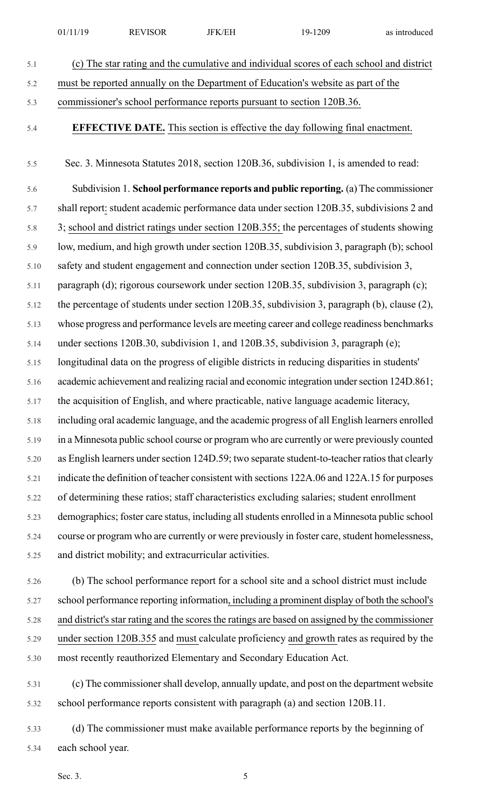|      | 01/11/19                                                                             | <b>REVISOR</b>                                                                    | <b>JFK/EH</b>                                          | 19-1209                                                                                        | as introduced |  |  |  |  |
|------|--------------------------------------------------------------------------------------|-----------------------------------------------------------------------------------|--------------------------------------------------------|------------------------------------------------------------------------------------------------|---------------|--|--|--|--|
| 5.1  |                                                                                      |                                                                                   |                                                        | (c) The star rating and the cumulative and individual scores of each school and district       |               |  |  |  |  |
| 5.2  |                                                                                      | must be reported annually on the Department of Education's website as part of the |                                                        |                                                                                                |               |  |  |  |  |
| 5.3  |                                                                                      | commissioner's school performance reports pursuant to section 120B.36.            |                                                        |                                                                                                |               |  |  |  |  |
| 5.4  | <b>EFFECTIVE DATE.</b> This section is effective the day following final enactment.  |                                                                                   |                                                        |                                                                                                |               |  |  |  |  |
| 5.5  |                                                                                      |                                                                                   |                                                        | Sec. 3. Minnesota Statutes 2018, section 120B.36, subdivision 1, is amended to read:           |               |  |  |  |  |
| 5.6  | Subdivision 1. School performance reports and public reporting. (a) The commissioner |                                                                                   |                                                        |                                                                                                |               |  |  |  |  |
| 5.7  |                                                                                      |                                                                                   |                                                        | shall report: student academic performance data under section 120B.35, subdivisions 2 and      |               |  |  |  |  |
| 5.8  |                                                                                      |                                                                                   |                                                        | 3; school and district ratings under section 120B.355; the percentages of students showing     |               |  |  |  |  |
| 5.9  |                                                                                      |                                                                                   |                                                        | low, medium, and high growth under section 120B.35, subdivision 3, paragraph (b); school       |               |  |  |  |  |
| 5.10 |                                                                                      |                                                                                   |                                                        | safety and student engagement and connection under section 120B.35, subdivision 3,             |               |  |  |  |  |
| 5.11 |                                                                                      |                                                                                   |                                                        | paragraph (d); rigorous coursework under section 120B.35, subdivision 3, paragraph (c);        |               |  |  |  |  |
| 5.12 |                                                                                      |                                                                                   |                                                        | the percentage of students under section 120B.35, subdivision 3, paragraph (b), clause (2),    |               |  |  |  |  |
| 5.13 |                                                                                      |                                                                                   |                                                        | whose progress and performance levels are meeting career and college readiness benchmarks      |               |  |  |  |  |
| 5.14 |                                                                                      |                                                                                   |                                                        | under sections 120B.30, subdivision 1, and 120B.35, subdivision 3, paragraph (e);              |               |  |  |  |  |
| 5.15 |                                                                                      |                                                                                   |                                                        | longitudinal data on the progress of eligible districts in reducing disparities in students'   |               |  |  |  |  |
| 5.16 |                                                                                      |                                                                                   |                                                        | academic achievement and realizing racial and economic integration under section 124D.861;     |               |  |  |  |  |
| 5.17 |                                                                                      |                                                                                   |                                                        | the acquisition of English, and where practicable, native language academic literacy,          |               |  |  |  |  |
| 5.18 |                                                                                      |                                                                                   |                                                        | including oral academic language, and the academic progress of all English learners enrolled   |               |  |  |  |  |
| 5.19 |                                                                                      |                                                                                   |                                                        | in a Minnesota public school course or program who are currently or were previously counted    |               |  |  |  |  |
|      |                                                                                      |                                                                                   |                                                        | as English learners under section 124D.59; two separate student-to-teacher ratios that clearly |               |  |  |  |  |
|      |                                                                                      |                                                                                   |                                                        | indicate the definition of teacher consistent with sections 122A.06 and 122A.15 for purposes   |               |  |  |  |  |
|      |                                                                                      |                                                                                   |                                                        | of determining these ratios; staff characteristics excluding salaries; student enrollment      |               |  |  |  |  |
|      |                                                                                      |                                                                                   |                                                        | demographics; foster care status, including all students enrolled in a Minnesota public school |               |  |  |  |  |
|      |                                                                                      |                                                                                   |                                                        | course or program who are currently or were previously in foster care, student homelessness,   |               |  |  |  |  |
|      |                                                                                      |                                                                                   | and district mobility; and extracurricular activities. |                                                                                                |               |  |  |  |  |
|      |                                                                                      |                                                                                   |                                                        |                                                                                                |               |  |  |  |  |

5.26 (b) The school performance report for a school site and a school district must include 5.27 school performance reporting information, including a prominent display of both the school's 5.28 and district's star rating and the scores the ratings are based on assigned by the commissioner 5.29 under section 120B.355 and must calculate proficiency and growth rates as required by the 5.30 most recently reauthorized Elementary and Secondary Education Act.

5.31 (c) The commissionershall develop, annually update, and post on the department website 5.32 school performance reports consistent with paragraph (a) and section 120B.11.

5.33 (d) The commissioner must make available performance reports by the beginning of 5.34 each school year.

Sec. 3.  $5^{\circ}$